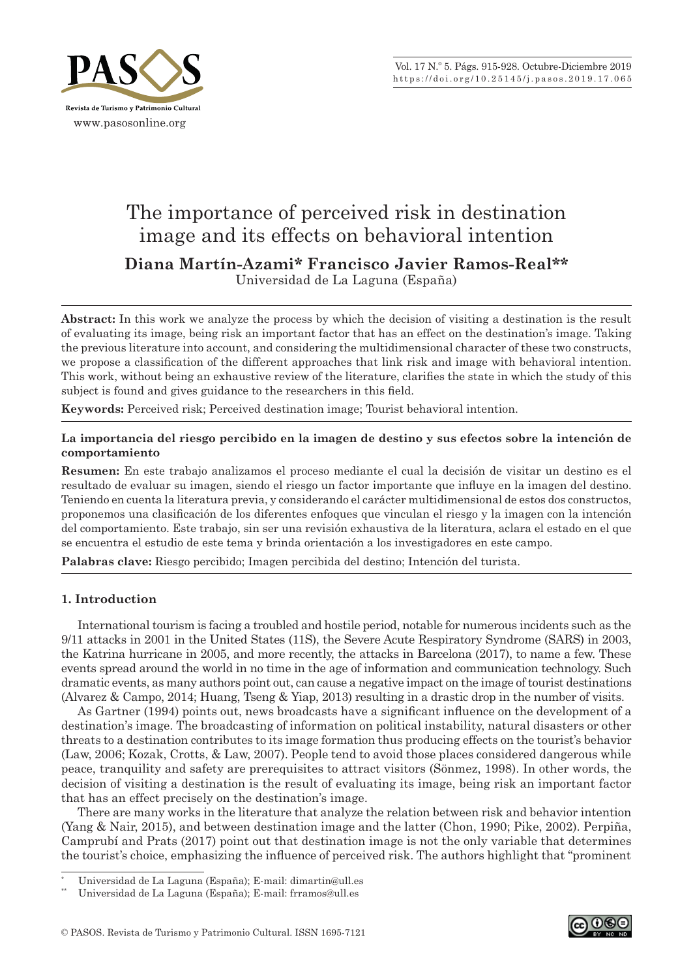

# The importance of perceived risk in destination image and its effects on behavioral intention

**Diana Martín -Azami\* Francisco Javier Ramos -Real\*\***

Universidad de La Laguna (España)

**Abstract:** In this work we analyze the process by which the decision of visiting a destination is the result of evaluating its image, being risk an important factor that has an effect on the destination's image. Taking the previous literature into account, and considering the multidimensional character of these two constructs, we propose a classification of the different approaches that link risk and image with behavioral intention. This work, without being an exhaustive review of the literature, clarifies the state in which the study of this subject is found and gives guidance to the researchers in this field.

**Keywords:** Perceived risk; Perceived destination image; Tourist behavioral intention.

# **La importancia del riesgo percibido en la imagen de destino y sus efectos sobre la intención de comportamiento**

**Resumen:** En este trabajo analizamos el proceso mediante el cual la decisión de visitar un destino es el resultado de evaluar su imagen, siendo el riesgo un factor importante que influye en la imagen del destino. Teniendo en cuenta la literatura previa, y considerando el carácter multidimensional de estos dos constructos, proponemos una clasificación de los diferentes enfoques que vinculan el riesgo y la imagen con la intención del comportamiento. Este trabajo, sin ser una revisión exhaustiva de la literatura, aclara el estado en el que se encuentra el estudio de este tema y brinda orientación a los investigadores en este campo.

**Palabras clave:** Riesgo percibido; Imagen percibida del destino; Intención del turista.

# **1. Introduction**

International tourism is facing a troubled and hostile period, notable for numerous incidents such as the 9/11 attacks in 2001 in the United States (11S), the Severe Acute Respiratory Syndrome (SARS) in 2003, the Katrina hurricane in 2005, and more recently, the attacks in Barcelona (2017), to name a few. These events spread around the world in no time in the age of information and communication technology. Such dramatic events, as many authors point out, can cause a negative impact on the image of tourist destinations (Alvarez & Campo, 2014; Huang, Tseng & Yiap, 2013) resulting in a drastic drop in the number of visits.

As Gartner (1994) points out, news broadcasts have a significant influence on the development of a destination's image. The broadcasting of information on political instability, natural disasters or other threats to a destination contributes to its image formation thus producing effects on the tourist's behavior (Law, 2006; Kozak, Crotts, & Law, 2007). People tend to avoid those places considered dangerous while peace, tranquility and safety are prerequisites to attract visitors (Sönmez, 1998). In other words, the decision of visiting a destination is the result of evaluating its image, being risk an important factor that has an effect precisely on the destination's image.

There are many works in the literature that analyze the relation between risk and behavior intention (Yang & Nair, 2015), and between destination image and the latter (Chon, 1990; Pike, 2002). Perpiña, Camprubí and Prats (2017) point out that destination image is not the only variable that determines the tourist's choice, emphasizing the influence of perceived risk. The authors highlight that "prominent



<sup>\*</sup> Universidad de La Laguna (España); E‑mail: dimartin@ull.es

Universidad de La Laguna (España); E-mail: frramos@ull.es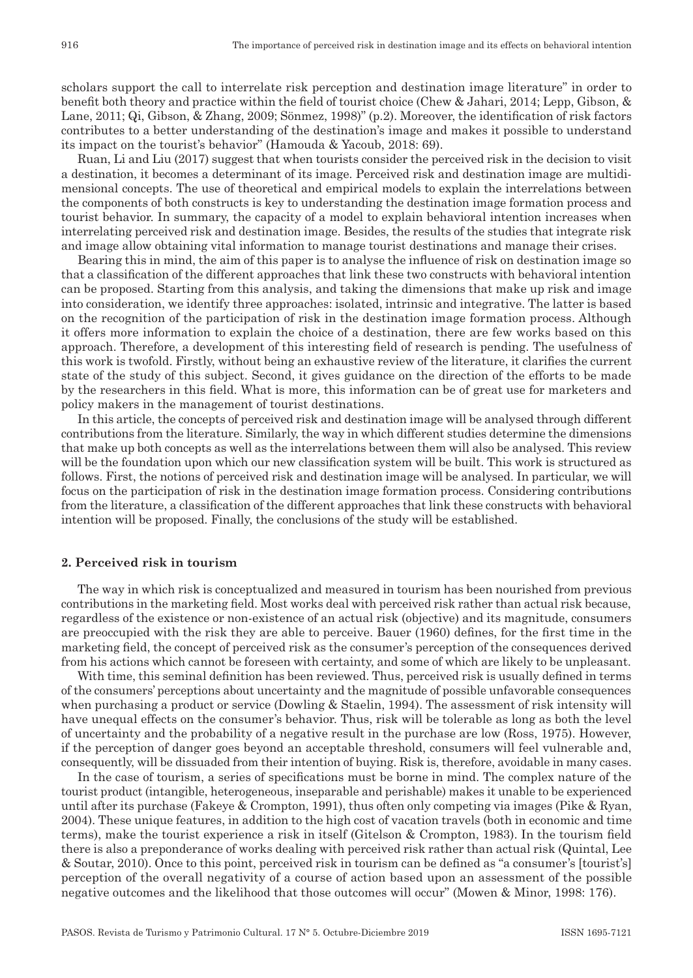scholars support the call to interrelate risk perception and destination image literature" in order to benefit both theory and practice within the field of tourist choice (Chew & Jahari, 2014; Lepp, Gibson, & Lane, 2011; Qi, Gibson, & Zhang, 2009; Sönmez, 1998)" (p.2). Moreover, the identification of risk factors contributes to a better understanding of the destination's image and makes it possible to understand its impact on the tourist's behavior" (Hamouda & Yacoub, 2018: 69).

Ruan, Li and Liu (2017) suggest that when tourists consider the perceived risk in the decision to visit a destination, it becomes a determinant of its image. Perceived risk and destination image are multidimensional concepts. The use of theoretical and empirical models to explain the interrelations between the components of both constructs is key to understanding the destination image formation process and tourist behavior. In summary, the capacity of a model to explain behavioral intention increases when interrelating perceived risk and destination image. Besides, the results of the studies that integrate risk and image allow obtaining vital information to manage tourist destinations and manage their crises.

Bearing this in mind, the aim of this paper is to analyse the influence of risk on destination image so that a classification of the different approaches that link these two constructs with behavioral intention can be proposed. Starting from this analysis, and taking the dimensions that make up risk and image into consideration, we identify three approaches: isolated, intrinsic and integrative. The latter is based on the recognition of the participation of risk in the destination image formation process. Although it offers more information to explain the choice of a destination, there are few works based on this approach. Therefore, a development of this interesting field of research is pending. The usefulness of this work is twofold. Firstly, without being an exhaustive review of the literature, it clarifies the current state of the study of this subject. Second, it gives guidance on the direction of the efforts to be made by the researchers in this field. What is more, this information can be of great use for marketers and policy makers in the management of tourist destinations.

In this article, the concepts of perceived risk and destination image will be analysed through different contributions from the literature. Similarly, the way in which different studies determine the dimensions that make up both concepts as well as the interrelations between them will also be analysed. This review will be the foundation upon which our new classification system will be built. This work is structured as follows. First, the notions of perceived risk and destination image will be analysed. In particular, we will focus on the participation of risk in the destination image formation process. Considering contributions from the literature, a classification of the different approaches that link these constructs with behavioral intention will be proposed. Finally, the conclusions of the study will be established.

## **2. Perceived risk in tourism**

The way in which risk is conceptualized and measured in tourism has been nourished from previous contributions in the marketing field. Most works deal with perceived risk rather than actual risk because, regardless of the existence or non‑existence of an actual risk (objective) and its magnitude, consumers are preoccupied with the risk they are able to perceive. Bauer (1960) defines, for the first time in the marketing field, the concept of perceived risk as the consumer's perception of the consequences derived from his actions which cannot be foreseen with certainty, and some of which are likely to be unpleasant.

With time, this seminal definition has been reviewed. Thus, perceived risk is usually defined in terms of the consumers' perceptions about uncertainty and the magnitude of possible unfavorable consequences when purchasing a product or service (Dowling & Staelin, 1994). The assessment of risk intensity will have unequal effects on the consumer's behavior. Thus, risk will be tolerable as long as both the level of uncertainty and the probability of a negative result in the purchase are low (Ross, 1975). However, if the perception of danger goes beyond an acceptable threshold, consumers will feel vulnerable and, consequently, will be dissuaded from their intention of buying. Risk is, therefore, avoidable in many cases.

In the case of tourism, a series of specifications must be borne in mind. The complex nature of the tourist product (intangible, heterogeneous, inseparable and perishable) makes it unable to be experienced until after its purchase (Fakeye & Crompton, 1991), thus often only competing via images (Pike & Ryan, 2004). These unique features, in addition to the high cost of vacation travels (both in economic and time terms), make the tourist experience a risk in itself (Gitelson & Crompton, 1983). In the tourism field there is also a preponderance of works dealing with perceived risk rather than actual risk (Quintal, Lee & Soutar, 2010). Once to this point, perceived risk in tourism can be defined as "a consumer's [tourist's] perception of the overall negativity of a course of action based upon an assessment of the possible negative outcomes and the likelihood that those outcomes will occur" (Mowen & Minor, 1998: 176).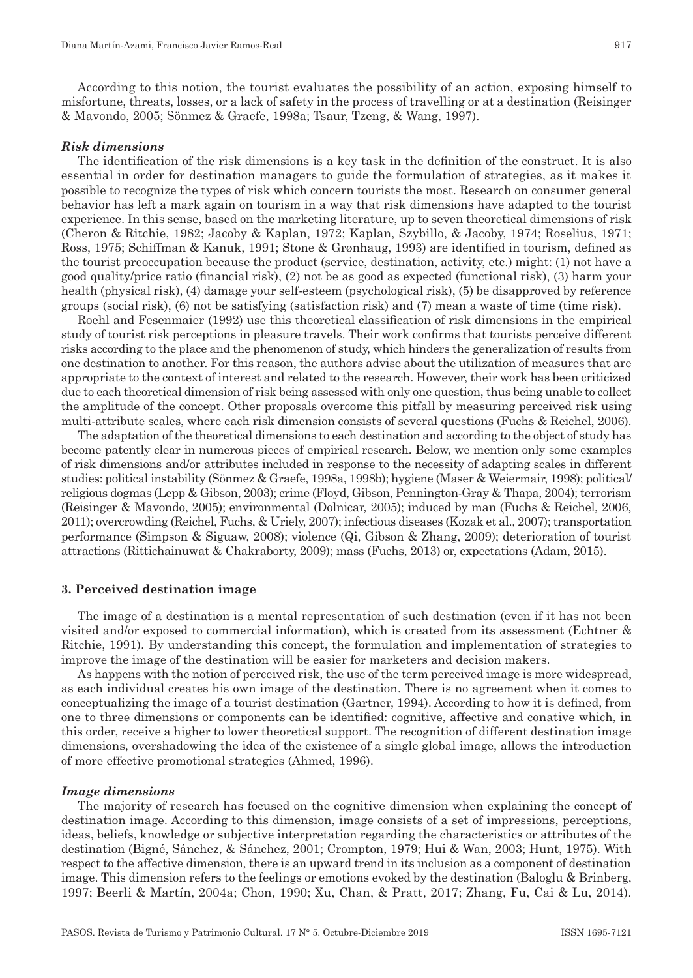According to this notion, the tourist evaluates the possibility of an action, exposing himself to misfortune, threats, losses, or a lack of safety in the process of travelling or at a destination (Reisinger & Mavondo, 2005; Sönmez & Graefe, 1998a; Tsaur, Tzeng, & Wang, 1997).

#### *Risk dimensions*

The identification of the risk dimensions is a key task in the definition of the construct. It is also essential in order for destination managers to guide the formulation of strategies, as it makes it possible to recognize the types of risk which concern tourists the most. Research on consumer general behavior has left a mark again on tourism in a way that risk dimensions have adapted to the tourist experience. In this sense, based on the marketing literature, up to seven theoretical dimensions of risk (Cheron & Ritchie, 1982; Jacoby & Kaplan, 1972; Kaplan, Szybillo, & Jacoby, 1974; Roselius, 1971; Ross, 1975; Schiffman & Kanuk, 1991; Stone & Grønhaug, 1993) are identified in tourism, defined as the tourist preoccupation because the product (service, destination, activity, etc.) might: (1) not have a good quality/price ratio (financial risk), (2) not be as good as expected (functional risk), (3) harm your health (physical risk), (4) damage your self-esteem (psychological risk), (5) be disapproved by reference groups (social risk), (6) not be satisfying (satisfaction risk) and (7) mean a waste of time (time risk).

Roehl and Fesenmaier (1992) use this theoretical classification of risk dimensions in the empirical study of tourist risk perceptions in pleasure travels. Their work confirms that tourists perceive different risks according to the place and the phenomenon of study, which hinders the generalization of results from one destination to another. For this reason, the authors advise about the utilization of measures that are appropriate to the context of interest and related to the research. However, their work has been criticized due to each theoretical dimension of risk being assessed with only one question, thus being unable to collect the amplitude of the concept. Other proposals overcome this pitfall by measuring perceived risk using multi‑attribute scales, where each risk dimension consists of several questions (Fuchs & Reichel, 2006).

The adaptation of the theoretical dimensions to each destination and according to the object of study has become patently clear in numerous pieces of empirical research. Below, we mention only some examples of risk dimensions and/or attributes included in response to the necessity of adapting scales in different studies: political instability (Sönmez & Graefe, 1998a, 1998b); hygiene (Maser & Weiermair, 1998); political/ religious dogmas (Lepp & Gibson, 2003); crime (Floyd, Gibson, Pennington‑Gray & Thapa, 2004); terrorism (Reisinger & Mavondo, 2005); environmental (Dolnicar, 2005); induced by man (Fuchs & Reichel, 2006, 2011); overcrowding (Reichel, Fuchs, & Uriely, 2007); infectious diseases (Kozak et al., 2007); transportation performance (Simpson & Siguaw, 2008); violence (Qi, Gibson & Zhang, 2009); deterioration of tourist attractions (Rittichainuwat & Chakraborty, 2009); mass (Fuchs, 2013) or, expectations (Adam, 2015).

#### **3. Perceived destination image**

The image of a destination is a mental representation of such destination (even if it has not been visited and/or exposed to commercial information), which is created from its assessment (Echtner & Ritchie, 1991). By understanding this concept, the formulation and implementation of strategies to improve the image of the destination will be easier for marketers and decision makers.

As happens with the notion of perceived risk, the use of the term perceived image is more widespread, as each individual creates his own image of the destination. There is no agreement when it comes to conceptualizing the image of a tourist destination (Gartner, 1994). According to how it is defined, from one to three dimensions or components can be identified: cognitive, affective and conative which, in this order, receive a higher to lower theoretical support. The recognition of different destination image dimensions, overshadowing the idea of the existence of a single global image, allows the introduction of more effective promotional strategies (Ahmed, 1996).

#### *Image dimensions*

The majority of research has focused on the cognitive dimension when explaining the concept of destination image. According to this dimension, image consists of a set of impressions, perceptions, ideas, beliefs, knowledge or subjective interpretation regarding the characteristics or attributes of the destination (Bigné, Sánchez, & Sánchez, 2001; Crompton, 1979; Hui & Wan, 2003; Hunt, 1975). With respect to the affective dimension, there is an upward trend in its inclusion as a component of destination image. This dimension refers to the feelings or emotions evoked by the destination (Baloglu & Brinberg, 1997; Beerli & Martín, 2004a; Chon, 1990; Xu, Chan, & Pratt, 2017; Zhang, Fu, Cai & Lu, 2014).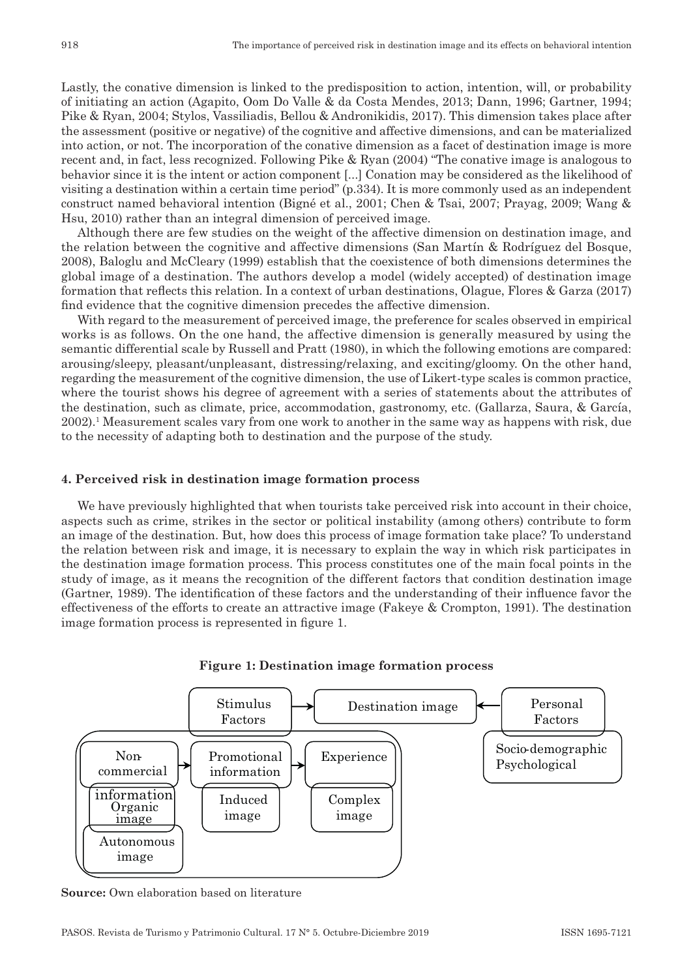Lastly, the conative dimension is linked to the predisposition to action, intention, will, or probability of initiating an action (Agapito, Oom Do Valle & da Costa Mendes, 2013; Dann, 1996; Gartner, 1994; Pike & Ryan, 2004; Stylos, Vassiliadis, Bellou & Andronikidis, 2017). This dimension takes place after the assessment (positive or negative) of the cognitive and affective dimensions, and can be materialized into action, or not. The incorporation of the conative dimension as a facet of destination image is more recent and, in fact, less recognized. Following Pike & Ryan (2004) "The conative image is analogous to behavior since it is the intent or action component [...] Conation may be considered as the likelihood of visiting a destination within a certain time period" (p.334). It is more commonly used as an independent construct named behavioral intention (Bigné et al., 2001; Chen & Tsai, 2007; Prayag, 2009; Wang & Hsu, 2010) rather than an integral dimension of perceived image.

Although there are few studies on the weight of the affective dimension on destination image, and the relation between the cognitive and affective dimensions (San Martín & Rodríguez del Bosque, 2008), Baloglu and McCleary (1999) establish that the coexistence of both dimensions determines the global image of a destination. The authors develop a model (widely accepted) of destination image formation that reflects this relation. In a context of urban destinations, Olague, Flores & Garza (2017) find evidence that the cognitive dimension precedes the affective dimension.

With regard to the measurement of perceived image, the preference for scales observed in empirical works is as follows. On the one hand, the affective dimension is generally measured by using the semantic differential scale by Russell and Pratt (1980), in which the following emotions are compared: arousing/sleepy, pleasant/unpleasant, distressing/relaxing, and exciting/gloomy. On the other hand, regarding the measurement of the cognitive dimension, the use of Likert-type scales is common practice, where the tourist shows his degree of agreement with a series of statements about the attributes of the destination, such as climate, price, accommodation, gastronomy, etc. (Gallarza, Saura, & García, 2002).1 Measurement scales vary from one work to another in the same way as happens with risk, due to the necessity of adapting both to destination and the purpose of the study.

## **4. Perceived risk in destination image formation process**

We have previously highlighted that when tourists take perceived risk into account in their choice, aspects such as crime, strikes in the sector or political instability (among others) contribute to form an image of the destination. But, how does this process of image formation take place? To understand the relation between risk and image, it is necessary to explain the way in which risk participates in the destination image formation process. This process constitutes one of the main focal points in the study of image, as it means the recognition of the different factors that condition destination image (Gartner, 1989). The identification of these factors and the understanding of their influence favor the effectiveness of the efforts to create an attractive image (Fakeye & Crompton, 1991). The destination image formation process is represented in figure 1.





**Source:** Own elaboration based on literature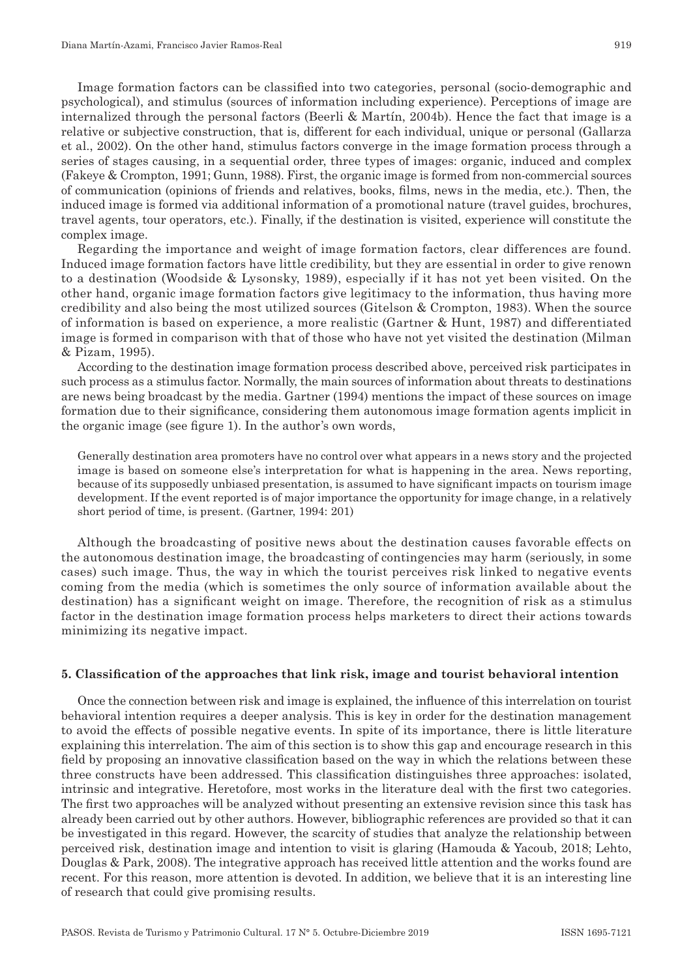Image formation factors can be classified into two categories, personal (socio-demographic and psychological), and stimulus (sources of information including experience). Perceptions of image are internalized through the personal factors (Beerli & Martín, 2004b). Hence the fact that image is a relative or subjective construction, that is, different for each individual, unique or personal (Gallarza et al., 2002). On the other hand, stimulus factors converge in the image formation process through a series of stages causing, in a sequential order, three types of images: organic, induced and complex (Fakeye & Crompton, 1991; Gunn, 1988). First, the organic image is formed from non‑commercial sources of communication (opinions of friends and relatives, books, films, news in the media, etc.). Then, the induced image is formed via additional information of a promotional nature (travel guides, brochures, travel agents, tour operators, etc.). Finally, if the destination is visited, experience will constitute the complex image.

Regarding the importance and weight of image formation factors, clear differences are found. Induced image formation factors have little credibility, but they are essential in order to give renown to a destination (Woodside & Lysonsky, 1989), especially if it has not yet been visited. On the other hand, organic image formation factors give legitimacy to the information, thus having more credibility and also being the most utilized sources (Gitelson & Crompton, 1983). When the source of information is based on experience, a more realistic (Gartner & Hunt, 1987) and differentiated image is formed in comparison with that of those who have not yet visited the destination (Milman & Pizam, 1995).

According to the destination image formation process described above, perceived risk participates in such process as a stimulus factor. Normally, the main sources of information about threats to destinations are news being broadcast by the media. Gartner (1994) mentions the impact of these sources on image formation due to their significance, considering them autonomous image formation agents implicit in the organic image (see figure 1). In the author's own words,

Generally destination area promoters have no control over what appears in a news story and the projected image is based on someone else's interpretation for what is happening in the area. News reporting, because of its supposedly unbiased presentation, is assumed to have significant impacts on tourism image development. If the event reported is of major importance the opportunity for image change, in a relatively short period of time, is present. (Gartner, 1994: 201)

Although the broadcasting of positive news about the destination causes favorable effects on the autonomous destination image, the broadcasting of contingencies may harm (seriously, in some cases) such image. Thus, the way in which the tourist perceives risk linked to negative events coming from the media (which is sometimes the only source of information available about the destination) has a significant weight on image. Therefore, the recognition of risk as a stimulus factor in the destination image formation process helps marketers to direct their actions towards minimizing its negative impact.

### **5. Classification of the approaches that link risk, image and tourist behavioral intention**

Once the connection between risk and image is explained, the influence of this interrelation on tourist behavioral intention requires a deeper analysis. This is key in order for the destination management to avoid the effects of possible negative events. In spite of its importance, there is little literature explaining this interrelation. The aim of this section is to show this gap and encourage research in this field by proposing an innovative classification based on the way in which the relations between these three constructs have been addressed. This classification distinguishes three approaches: isolated, intrinsic and integrative. Heretofore, most works in the literature deal with the first two categories. The first two approaches will be analyzed without presenting an extensive revision since this task has already been carried out by other authors. However, bibliographic references are provided so that it can be investigated in this regard. However, the scarcity of studies that analyze the relationship between perceived risk, destination image and intention to visit is glaring (Hamouda & Yacoub, 2018; Lehto, Douglas & Park, 2008). The integrative approach has received little attention and the works found are recent. For this reason, more attention is devoted. In addition, we believe that it is an interesting line of research that could give promising results.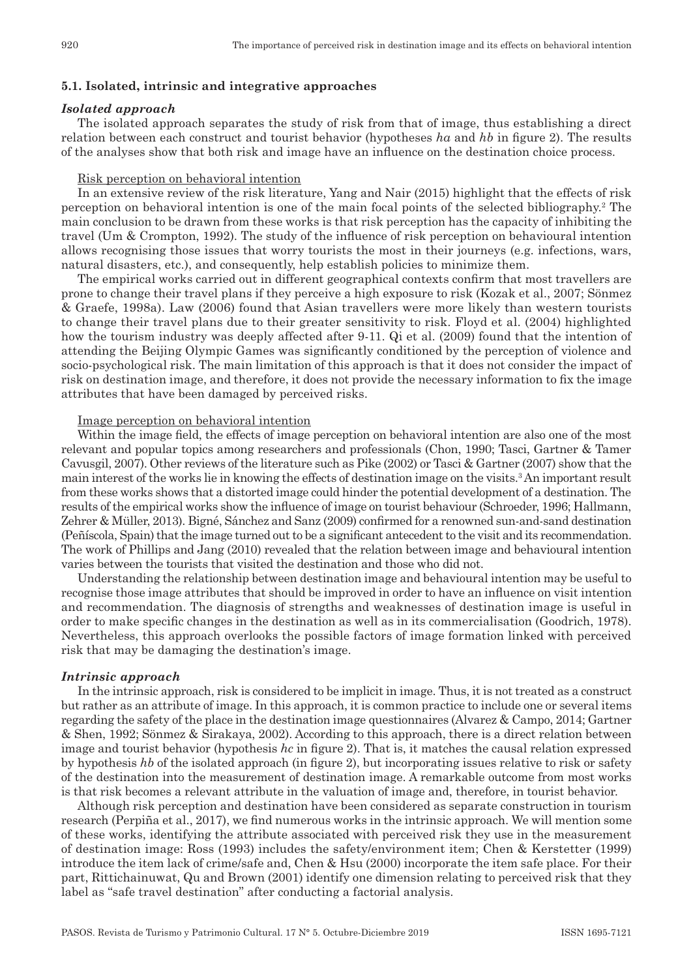## **5.1. Isolated, intrinsic and integrative approaches**

#### *Isolated approach*

The isolated approach separates the study of risk from that of image, thus establishing a direct relation between each construct and tourist behavior (hypotheses *ha* and *hb* in figure 2). The results of the analyses show that both risk and image have an influence on the destination choice process.

#### Risk perception on behavioral intention

In an extensive review of the risk literature, Yang and Nair (2015) highlight that the effects of risk perception on behavioral intention is one of the main focal points of the selected bibliography.2 The main conclusion to be drawn from these works is that risk perception has the capacity of inhibiting the travel (Um & Crompton, 1992). The study of the influence of risk perception on behavioural intention allows recognising those issues that worry tourists the most in their journeys (e.g. infections, wars, natural disasters, etc.), and consequently, help establish policies to minimize them.

The empirical works carried out in different geographical contexts confirm that most travellers are prone to change their travel plans if they perceive a high exposure to risk (Kozak et al., 2007; Sönmez & Graefe, 1998a). Law (2006) found that Asian travellers were more likely than western tourists to change their travel plans due to their greater sensitivity to risk. Floyd et al. (2004) highlighted how the tourism industry was deeply affected after 9-11. Qi et al. (2009) found that the intention of attending the Beijing Olympic Games was significantly conditioned by the perception of violence and socio-psychological risk. The main limitation of this approach is that it does not consider the impact of risk on destination image, and therefore, it does not provide the necessary information to fix the image attributes that have been damaged by perceived risks.

#### Image perception on behavioral intention

Within the image field, the effects of image perception on behavioral intention are also one of the most relevant and popular topics among researchers and professionals (Chon, 1990; Tasci, Gartner & Tamer Cavusgil, 2007). Other reviews of the literature such as Pike (2002) or Tasci & Gartner (2007) show that the main interest of the works lie in knowing the effects of destination image on the visits.<sup>3</sup> An important result from these works shows that a distorted image could hinder the potential development of a destination. The results of the empirical works show the influence of image on tourist behaviour (Schroeder, 1996; Hallmann, Zehrer & Müller, 2013). Bigné, Sánchez and Sanz (2009) confirmed for a renowned sun-and-sand destination (Peñíscola, Spain) that the image turned out to be a significant antecedent to the visit and its recommendation. The work of Phillips and Jang (2010) revealed that the relation between image and behavioural intention varies between the tourists that visited the destination and those who did not.

Understanding the relationship between destination image and behavioural intention may be useful to recognise those image attributes that should be improved in order to have an influence on visit intention and recommendation. The diagnosis of strengths and weaknesses of destination image is useful in order to make specific changes in the destination as well as in its commercialisation (Goodrich, 1978). Nevertheless, this approach overlooks the possible factors of image formation linked with perceived risk that may be damaging the destination's image.

#### *Intrinsic approach*

In the intrinsic approach, risk is considered to be implicit in image. Thus, it is not treated as a construct but rather as an attribute of image. In this approach, it is common practice to include one or several items regarding the safety of the place in the destination image questionnaires (Alvarez & Campo, 2014; Gartner & Shen, 1992; Sönmez & Sirakaya, 2002). According to this approach, there is a direct relation between image and tourist behavior (hypothesis *hc* in figure 2). That is, it matches the causal relation expressed by hypothesis *hb* of the isolated approach (in figure 2), but incorporating issues relative to risk or safety of the destination into the measurement of destination image. A remarkable outcome from most works is that risk becomes a relevant attribute in the valuation of image and, therefore, in tourist behavior.

Although risk perception and destination have been considered as separate construction in tourism research (Perpiña et al., 2017), we find numerous works in the intrinsic approach. We will mention some of these works, identifying the attribute associated with perceived risk they use in the measurement of destination image: Ross (1993) includes the safety/environment item; Chen & Kerstetter (1999) introduce the item lack of crime/safe and, Chen & Hsu (2000) incorporate the item safe place. For their part, Rittichainuwat, Qu and Brown (2001) identify one dimension relating to perceived risk that they label as "safe travel destination" after conducting a factorial analysis.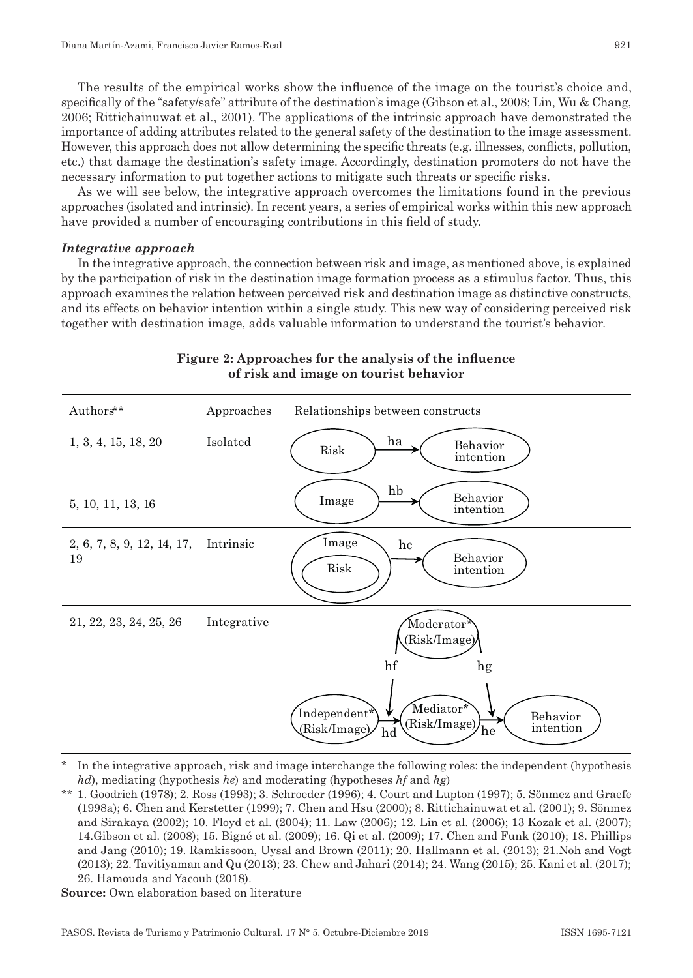The results of the empirical works show the influence of the image on the tourist's choice and, specifically of the "safety/safe" attribute of the destination's image (Gibson et al., 2008; Lin, Wu & Chang, 2006; Rittichainuwat et al., 2001). The applications of the intrinsic approach have demonstrated the importance of adding attributes related to the general safety of the destination to the image assessment. However, this approach does not allow determining the specific threats (e.g. illnesses, conflicts, pollution, etc.) that damage the destination's safety image. Accordingly, destination promoters do not have the necessary information to put together actions to mitigate such threats or specific risks.

As we will see below, the integrative approach overcomes the limitations found in the previous approaches (isolated and intrinsic). In recent years, a series of empirical works within this new approach have provided a number of encouraging contributions in this field of study.

#### *Integrative approach*

In the integrative approach, the connection between risk and image, as mentioned above, is explained by the participation of risk in the destination image formation process as a stimulus factor. Thus, this approach examines the relation between perceived risk and destination image as distinctive constructs, and its effects on behavior intention within a single study. This new way of considering perceived risk together with destination image, adds valuable information to understand the tourist's behavior.



# **Figure 2: Approaches for the analysis of the influence of risk and image on tourist behavior**

In the integrative approach, risk and image interchange the following roles: the independent (hypothesis) *hd*), mediating (hypothesis *he*) and moderating (hypotheses *hf* and *hg*)

<sup>\*\*</sup> 1. Goodrich (1978); 2. Ross (1993); 3. Schroeder (1996); 4. Court and Lupton (1997); 5. Sönmez and Graefe (1998a); 6. Chen and Kerstetter (1999); 7. Chen and Hsu (2000); 8. Rittichainuwat et al. (2001); 9. Sönmez and Sirakaya (2002); 10. Floyd et al. (2004); 11. Law (2006); 12. Lin et al. (2006); 13 Kozak et al. (2007); 14.Gibson et al. (2008); 15. Bigné et al. (2009); 16. Qi et al. (2009); 17. Chen and Funk (2010); 18. Phillips and Jang (2010); 19. Ramkissoon, Uysal and Brown (2011); 20. Hallmann et al. (2013); 21.Noh and Vogt (2013); 22. Tavitiyaman and Qu (2013); 23. Chew and Jahari (2014); 24. Wang (2015); 25. Kani et al. (2017); 26. Hamouda and Yacoub (2018).

**Source:** Own elaboration based on literature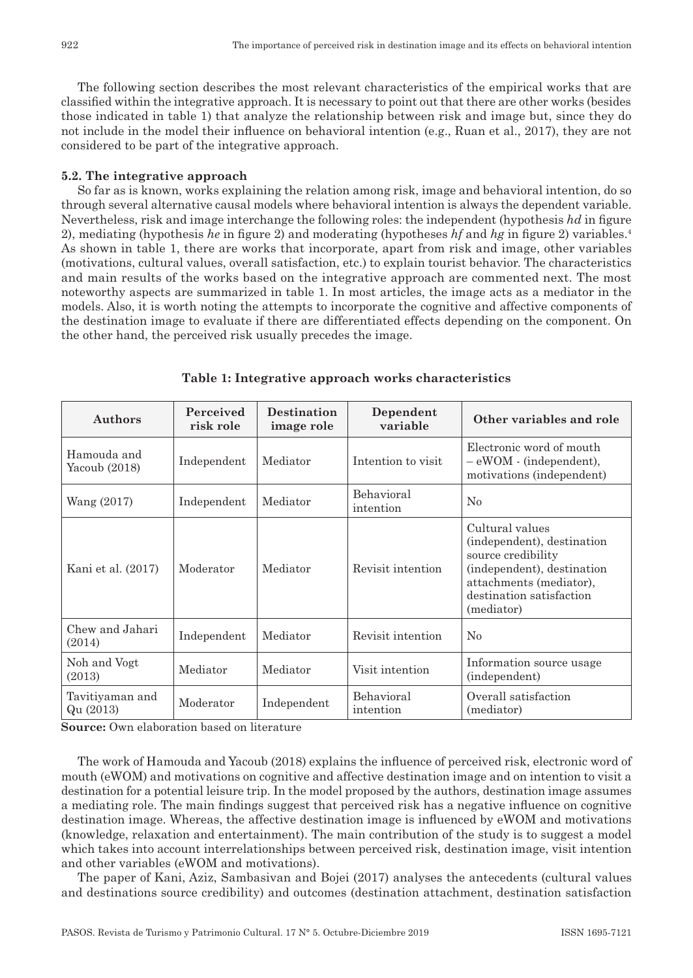The following section describes the most relevant characteristics of the empirical works that are classified within the integrative approach. It is necessary to point out that there are other works (besides those indicated in table 1) that analyze the relationship between risk and image but, since they do not include in the model their influence on behavioral intention (e.g., Ruan et al., 2017), they are not considered to be part of the integrative approach.

#### **5.2. The integrative approach**

So far as is known, works explaining the relation among risk, image and behavioral intention, do so through several alternative causal models where behavioral intention is always the dependent variable. Nevertheless, risk and image interchange the following roles: the independent (hypothesis *hd* in figure 2), mediating (hypothesis *he* in figure 2) and moderating (hypotheses *hf* and *hg* in figure 2) variables.4 As shown in table 1, there are works that incorporate, apart from risk and image, other variables (motivations, cultural values, overall satisfaction, etc.) to explain tourist behavior. The characteristics and main results of the works based on the integrative approach are commented next. The most noteworthy aspects are summarized in table 1. In most articles, the image acts as a mediator in the models. Also, it is worth noting the attempts to incorporate the cognitive and affective components of the destination image to evaluate if there are differentiated effects depending on the component. On the other hand, the perceived risk usually precedes the image.

| Authors                      | Perceived<br>risk role | <b>Destination</b><br>image role | Dependent<br>variable   | Other variables and role                                                                                                                                               |
|------------------------------|------------------------|----------------------------------|-------------------------|------------------------------------------------------------------------------------------------------------------------------------------------------------------------|
| Hamouda and<br>Yacoub (2018) | Independent            | Mediator                         | Intention to visit      | Electronic word of mouth<br>- eWOM - (independent),<br>motivations (independent)                                                                                       |
| Wang (2017)                  | Independent            | Mediator                         | Behavioral<br>intention | No                                                                                                                                                                     |
| Kani et al. (2017)           | Moderator              | Mediator                         | Revisit intention       | Cultural values<br>(independent), destination<br>source credibility<br>(independent), destination<br>attachments (mediator),<br>destination satisfaction<br>(mediator) |
| Chew and Jahari<br>(2014)    | Independent            | Mediator                         | Revisit intention       | No                                                                                                                                                                     |
| Noh and Vogt<br>(2013)       | Mediator               | Mediator                         | Visit intention         | Information source usage<br>(independent)                                                                                                                              |
| Tavitiyaman and<br>Qu (2013) | Moderator              | Independent                      | Behavioral<br>intention | Overall satisfaction<br>(mediator)                                                                                                                                     |

#### **Table 1: Integrative approach works characteristics**

**Source:** Own elaboration based on literature

The work of Hamouda and Yacoub (2018) explains the influence of perceived risk, electronic word of mouth (eWOM) and motivations on cognitive and affective destination image and on intention to visit a destination for a potential leisure trip. In the model proposed by the authors, destination image assumes a mediating role. The main findings suggest that perceived risk has a negative influence on cognitive destination image. Whereas, the affective destination image is influenced by eWOM and motivations (knowledge, relaxation and entertainment). The main contribution of the study is to suggest a model which takes into account interrelationships between perceived risk, destination image, visit intention and other variables (eWOM and motivations).

The paper of Kani, Aziz, Sambasivan and Bojei (2017) analyses the antecedents (cultural values and destinations source credibility) and outcomes (destination attachment, destination satisfaction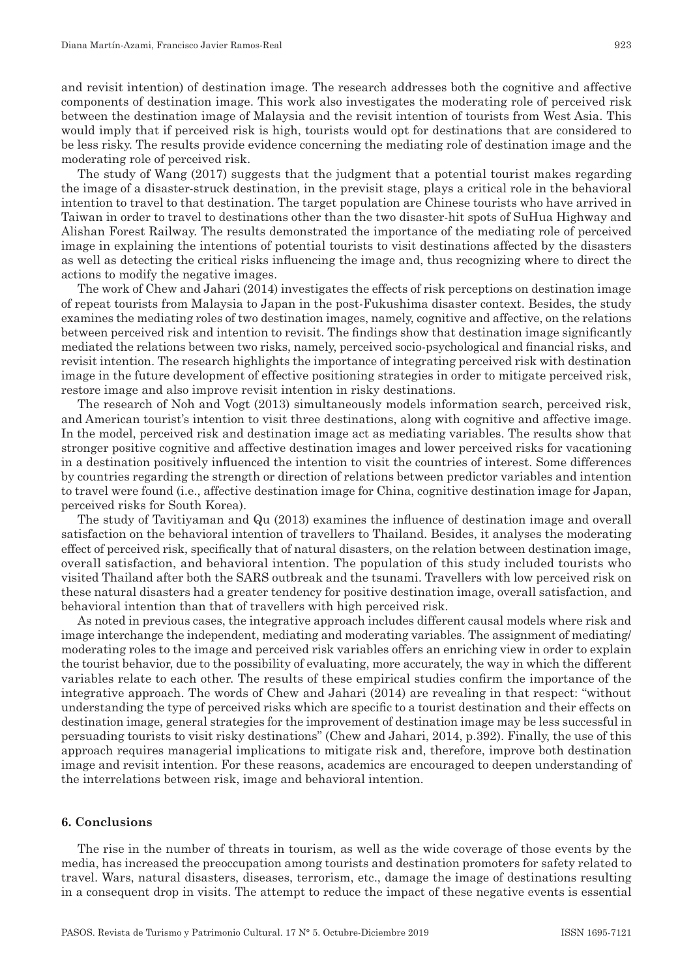and revisit intention) of destination image. The research addresses both the cognitive and affective components of destination image. This work also investigates the moderating role of perceived risk between the destination image of Malaysia and the revisit intention of tourists from West Asia. This would imply that if perceived risk is high, tourists would opt for destinations that are considered to be less risky. The results provide evidence concerning the mediating role of destination image and the moderating role of perceived risk.

The study of Wang (2017) suggests that the judgment that a potential tourist makes regarding the image of a disaster‑struck destination, in the previsit stage, plays a critical role in the behavioral intention to travel to that destination. The target population are Chinese tourists who have arrived in Taiwan in order to travel to destinations other than the two disaster‑hit spots of SuHua Highway and Alishan Forest Railway. The results demonstrated the importance of the mediating role of perceived image in explaining the intentions of potential tourists to visit destinations affected by the disasters as well as detecting the critical risks influencing the image and, thus recognizing where to direct the actions to modify the negative images.

The work of Chew and Jahari (2014) investigates the effects of risk perceptions on destination image of repeat tourists from Malaysia to Japan in the post‑Fukushima disaster context. Besides, the study examines the mediating roles of two destination images, namely, cognitive and affective, on the relations between perceived risk and intention to revisit. The findings show that destination image significantly mediated the relations between two risks, namely, perceived socio‑psychological and financial risks, and revisit intention. The research highlights the importance of integrating perceived risk with destination image in the future development of effective positioning strategies in order to mitigate perceived risk, restore image and also improve revisit intention in risky destinations.

The research of Noh and Vogt (2013) simultaneously models information search, perceived risk, and American tourist's intention to visit three destinations, along with cognitive and affective image. In the model, perceived risk and destination image act as mediating variables. The results show that stronger positive cognitive and affective destination images and lower perceived risks for vacationing in a destination positively influenced the intention to visit the countries of interest. Some differences by countries regarding the strength or direction of relations between predictor variables and intention to travel were found (i.e., affective destination image for China, cognitive destination image for Japan, perceived risks for South Korea).

The study of Tavitiyaman and Qu (2013) examines the influence of destination image and overall satisfaction on the behavioral intention of travellers to Thailand. Besides, it analyses the moderating effect of perceived risk, specifically that of natural disasters, on the relation between destination image, overall satisfaction, and behavioral intention. The population of this study included tourists who visited Thailand after both the SARS outbreak and the tsunami. Travellers with low perceived risk on these natural disasters had a greater tendency for positive destination image, overall satisfaction, and behavioral intention than that of travellers with high perceived risk.

As noted in previous cases, the integrative approach includes different causal models where risk and image interchange the independent, mediating and moderating variables. The assignment of mediating/ moderating roles to the image and perceived risk variables offers an enriching view in order to explain the tourist behavior, due to the possibility of evaluating, more accurately, the way in which the different variables relate to each other. The results of these empirical studies confirm the importance of the integrative approach. The words of Chew and Jahari (2014) are revealing in that respect: "without understanding the type of perceived risks which are specific to a tourist destination and their effects on destination image, general strategies for the improvement of destination image may be less successful in persuading tourists to visit risky destinations" (Chew and Jahari, 2014, p.392). Finally, the use of this approach requires managerial implications to mitigate risk and, therefore, improve both destination image and revisit intention. For these reasons, academics are encouraged to deepen understanding of the interrelations between risk, image and behavioral intention.

#### **6. Conclusions**

The rise in the number of threats in tourism, as well as the wide coverage of those events by the media, has increased the preoccupation among tourists and destination promoters for safety related to travel. Wars, natural disasters, diseases, terrorism, etc., damage the image of destinations resulting in a consequent drop in visits. The attempt to reduce the impact of these negative events is essential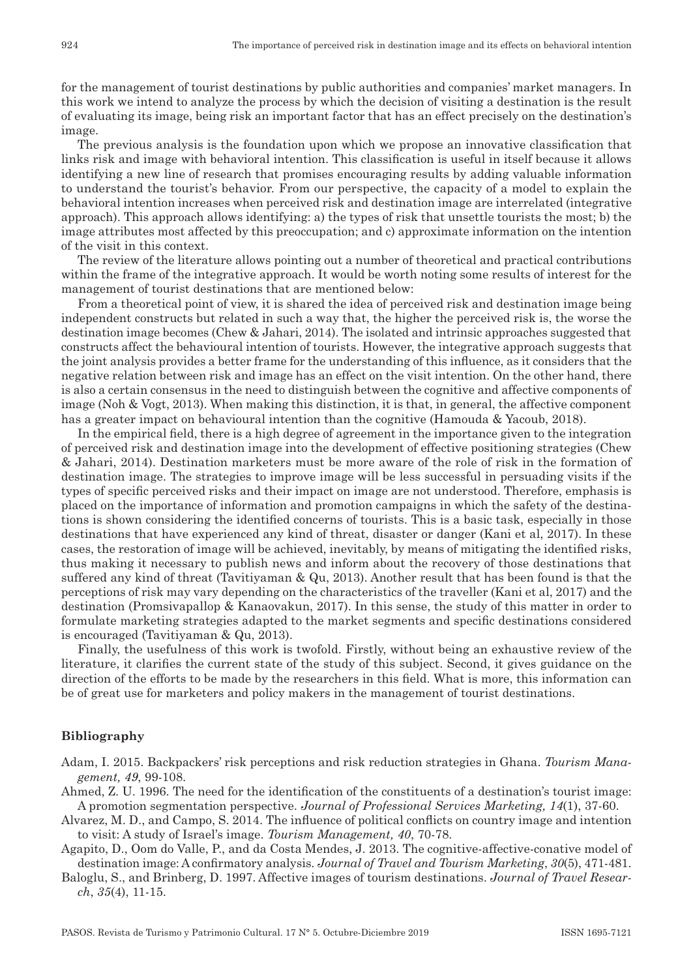for the management of tourist destinations by public authorities and companies' market managers. In this work we intend to analyze the process by which the decision of visiting a destination is the result of evaluating its image, being risk an important factor that has an effect precisely on the destination's image.

The previous analysis is the foundation upon which we propose an innovative classification that links risk and image with behavioral intention. This classification is useful in itself because it allows identifying a new line of research that promises encouraging results by adding valuable information to understand the tourist's behavior. From our perspective, the capacity of a model to explain the behavioral intention increases when perceived risk and destination image are interrelated (integrative approach). This approach allows identifying: a) the types of risk that unsettle tourists the most; b) the image attributes most affected by this preoccupation; and c) approximate information on the intention of the visit in this context.

The review of the literature allows pointing out a number of theoretical and practical contributions within the frame of the integrative approach. It would be worth noting some results of interest for the management of tourist destinations that are mentioned below:

From a theoretical point of view, it is shared the idea of perceived risk and destination image being independent constructs but related in such a way that, the higher the perceived risk is, the worse the destination image becomes (Chew & Jahari, 2014). The isolated and intrinsic approaches suggested that constructs affect the behavioural intention of tourists. However, the integrative approach suggests that the joint analysis provides a better frame for the understanding of this influence, as it considers that the negative relation between risk and image has an effect on the visit intention. On the other hand, there is also a certain consensus in the need to distinguish between the cognitive and affective components of image (Noh & Vogt, 2013). When making this distinction, it is that, in general, the affective component has a greater impact on behavioural intention than the cognitive (Hamouda & Yacoub, 2018).

In the empirical field, there is a high degree of agreement in the importance given to the integration of perceived risk and destination image into the development of effective positioning strategies (Chew & Jahari, 2014). Destination marketers must be more aware of the role of risk in the formation of destination image. The strategies to improve image will be less successful in persuading visits if the types of specific perceived risks and their impact on image are not understood. Therefore, emphasis is placed on the importance of information and promotion campaigns in which the safety of the destina‑ tions is shown considering the identified concerns of tourists. This is a basic task, especially in those destinations that have experienced any kind of threat, disaster or danger (Kani et al, 2017). In these cases, the restoration of image will be achieved, inevitably, by means of mitigating the identified risks, thus making it necessary to publish news and inform about the recovery of those destinations that suffered any kind of threat (Tavitiyaman & Qu, 2013). Another result that has been found is that the perceptions of risk may vary depending on the characteristics of the traveller (Kani et al, 2017) and the destination (Promsivapallop & Kanaovakun, 2017). In this sense, the study of this matter in order to formulate marketing strategies adapted to the market segments and specific destinations considered is encouraged (Tavitiyaman & Qu, 2013).

Finally, the usefulness of this work is twofold. Firstly, without being an exhaustive review of the literature, it clarifies the current state of the study of this subject. Second, it gives guidance on the direction of the efforts to be made by the researchers in this field. What is more, this information can be of great use for marketers and policy makers in the management of tourist destinations.

### **Bibliography**

Adam, I. 2015. Backpackers' risk perceptions and risk reduction strategies in Ghana. *Tourism Mana‑ gement, 49*, 99‑108.

Ahmed, Z. U. 1996. The need for the identification of the constituents of a destination's tourist image: A promotion segmentation perspective. *Journal of Professional Services Marketing, 14*(1), 37‑60.

Alvarez, M. D., and Campo, S. 2014. The influence of political conflicts on country image and intention to visit: A study of Israel's image. *Tourism Management, 40*, 70‑78.

Agapito, D., Oom do Valle, P., and da Costa Mendes, J. 2013. The cognitive-affective-conative model of destination image: A confirmatory analysis. *Journal of Travel and Tourism Marketing*, *30*(5), 471‑481.

Baloglu, S., and Brinberg, D. 1997. Affective images of tourism destinations. *Journal of Travel Resear‑ ch*, *35*(4), 11‑15.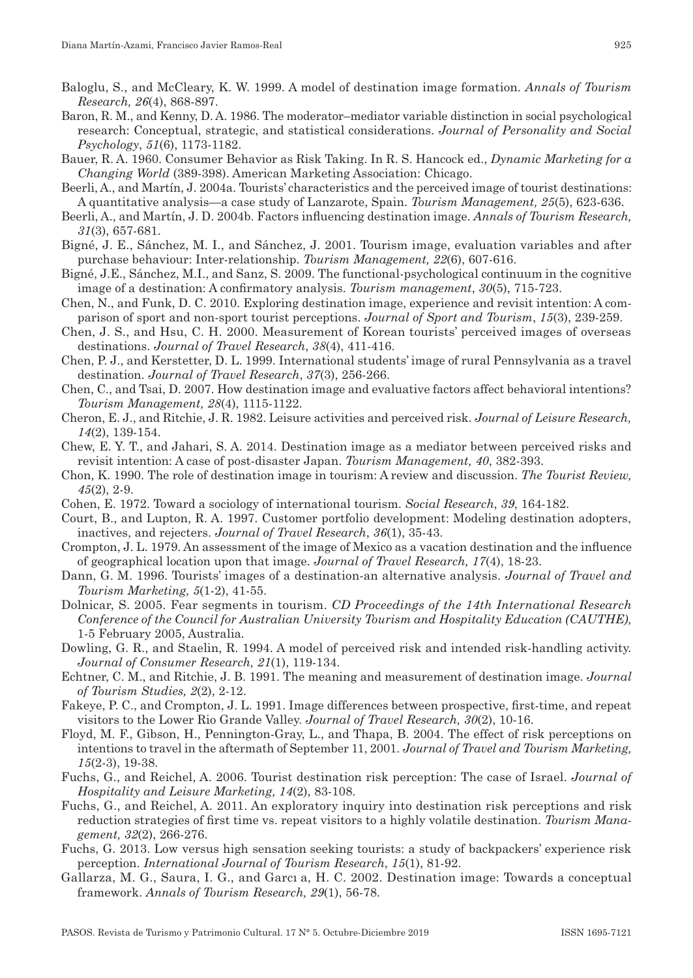- Baloglu, S., and McCleary, K. W. 1999. A model of destination image formation. *Annals of Tourism Research, 26*(4), 868‑897.
- Baron, R. M., and Kenny, D. A. 1986. The moderator–mediator variable distinction in social psychological research: Conceptual, strategic, and statistical considerations. *Journal of Personality and Social Psychology*, *51*(6), 1173‑1182.
- Bauer, R. A. 1960. Consumer Behavior as Risk Taking. In R. S. Hancock ed., *Dynamic Marketing for a Changing World* (389‑398). American Marketing Association: Chicago.
- Beerli, A., and Martín, J. 2004a. Tourists' characteristics and the perceived image of tourist destinations: A quantitative analysis—a case study of Lanzarote, Spain. *Tourism Management, 25*(5), 623‑636.
- Beerli, A., and Martín, J. D. 2004b. Factors influencing destination image. *Annals of Tourism Research, 31*(3), 657‑681.
- Bigné, J. E., Sánchez, M. I., and Sánchez, J. 2001. Tourism image, evaluation variables and after purchase behaviour: Inter‑relationship. *Tourism Management, 22*(6), 607‑616.
- Bigné, J.E., Sánchez, M.I., and Sanz, S. 2009. The functional‑psychological continuum in the cognitive image of a destination: A confirmatory analysis. *Tourism management*, *30*(5), 715‑723.
- Chen, N., and Funk, D. C. 2010. Exploring destination image, experience and revisit intention: A comparison of sport and non‑sport tourist perceptions. *Journal of Sport and Tourism*, *15*(3), 239‑259.
- Chen, J. S., and Hsu, C. H. 2000. Measurement of Korean tourists' perceived images of overseas destinations. *Journal of Travel Research*, *38*(4), 411‑416.
- Chen, P. J., and Kerstetter, D. L. 1999. International students' image of rural Pennsylvania as a travel destination. *Journal of Travel Research*, *37*(3), 256‑266.
- Chen, C., and Tsai, D. 2007. How destination image and evaluative factors affect behavioral intentions? *Tourism Management, 28*(4), 1115‑1122.
- Cheron, E. J., and Ritchie, J. R. 1982. Leisure activities and perceived risk. *Journal of Leisure Research, 14*(2), 139‑154.
- Chew, E. Y. T., and Jahari, S. A. 2014. Destination image as a mediator between perceived risks and revisit intention: A case of post-disaster Japan. *Tourism Management, 40, 382–393*.
- Chon, K. 1990. The role of destination image in tourism: A review and discussion. *The Tourist Review, 45*(2), 2‑9.
- Cohen, E. 1972. Toward a sociology of international tourism. *Social Research*, *39*, 164‑182.
- Court, B., and Lupton, R. A. 1997. Customer portfolio development: Modeling destination adopters, inactives, and rejecters. *Journal of Travel Research*, *36*(1), 35‑43.
- Crompton, J. L. 1979. An assessment of the image of Mexico as a vacation destination and the influence of geographical location upon that image. *Journal of Travel Research, 17*(4), 18‑23.
- Dann, G. M. 1996. Tourists' images of a destination-an alternative analysis. *Journal of Travel and Tourism Marketing, 5*(1‑2), 41‑55.
- Dolnicar, S. 2005. Fear segments in tourism. *CD Proceedings of the 14th International Research Conference of the Council for Australian University Tourism and Hospitality Education (CAUTHE),*  1‑5 February 2005, Australia*.*
- Dowling, G. R., and Staelin, R. 1994. A model of perceived risk and intended risk-handling activity. *Journal of Consumer Research, 21*(1), 119‑134.
- Echtner, C. M., and Ritchie, J. B. 1991. The meaning and measurement of destination image. *Journal of Tourism Studies, 2*(2), 2‑12.
- Fakeye, P. C., and Crompton, J. L. 1991. Image differences between prospective, first-time, and repeat visitors to the Lower Rio Grande Valley. *Journal of Travel Research, 30*(2), 10‑16.
- Floyd, M. F., Gibson, H., Pennington‑Gray, L., and Thapa, B. 2004. The effect of risk perceptions on intentions to travel in the aftermath of September 11, 2001. *Journal of Travel and Tourism Marketing, 15*(2‑3), 19‑38.
- Fuchs, G., and Reichel, A. 2006. Tourist destination risk perception: The case of Israel. *Journal of Hospitality and Leisure Marketing, 14*(2), 83‑108.
- Fuchs, G., and Reichel, A. 2011. An exploratory inquiry into destination risk perceptions and risk reduction strategies of first time vs. repeat visitors to a highly volatile destination. *Tourism Mana‑ gement, 32*(2), 266‑276.
- Fuchs, G. 2013. Low versus high sensation seeking tourists: a study of backpackers' experience risk perception. *International Journal of Tourism Research*, *15*(1), 81‑92.
- Gallarza, M. G., Saura, I. G., and Garcı a, H. C. 2002. Destination image: Towards a conceptual framework. *Annals of Tourism Research, 29*(1), 56‑78.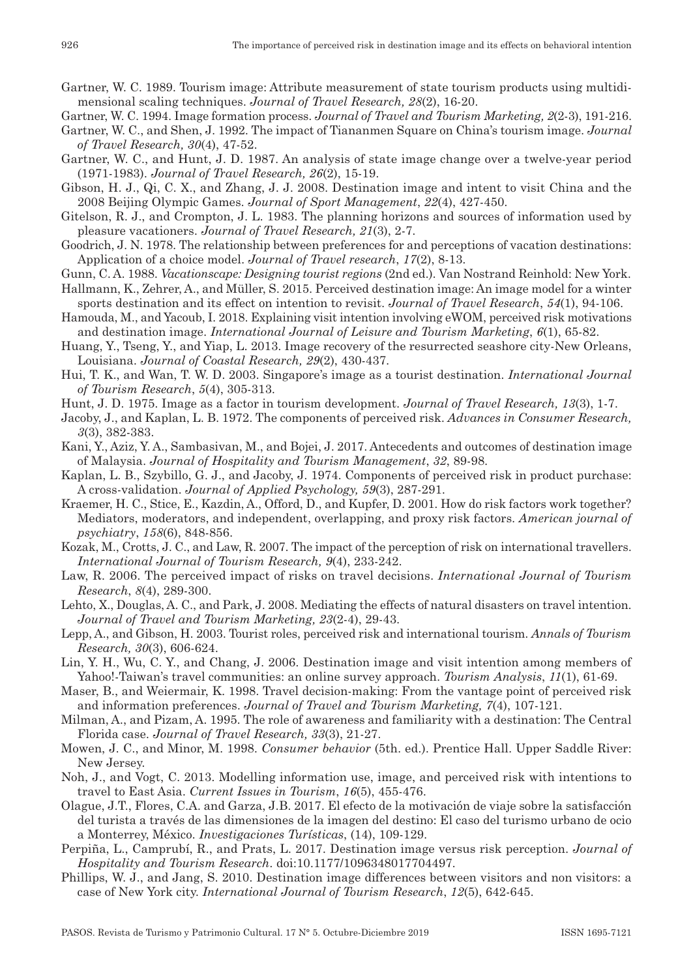- Gartner, W. C. 1989. Tourism image: Attribute measurement of state tourism products using multidimensional scaling techniques. *Journal of Travel Research, 28*(2), 16‑20.
- Gartner, W. C. 1994. Image formation process. *Journal of Travel and Tourism Marketing, 2*(2‑3), 191‑216.
- Gartner, W. C., and Shen, J. 1992. The impact of Tiananmen Square on China's tourism image. *Journal of Travel Research, 30*(4), 47‑52.
- Gartner, W. C., and Hunt, J. D. 1987. An analysis of state image change over a twelve-year period (1971‑1983). *Journal of Travel Research, 26*(2), 15‑19.
- Gibson, H. J., Qi, C. X., and Zhang, J. J. 2008. Destination image and intent to visit China and the 2008 Beijing Olympic Games. *Journal of Sport Management*, *22*(4), 427‑450.
- Gitelson, R. J., and Crompton, J. L. 1983. The planning horizons and sources of information used by pleasure vacationers. *Journal of Travel Research, 21*(3), 2‑7.
- Goodrich, J. N. 1978. The relationship between preferences for and perceptions of vacation destinations: Application of a choice model. *Journal of Travel research*, *17*(2), 8‑13.
- Gunn, C. A. 1988. *Vacationscape: Designing tourist regions* (2nd ed.). Van Nostrand Reinhold: New York.
- Hallmann, K., Zehrer, A., and Müller, S. 2015. Perceived destination image: An image model for a winter sports destination and its effect on intention to revisit. *Journal of Travel Research*, *54*(1), 94‑106.
- Hamouda, M., and Yacoub, I. 2018. Explaining visit intention involving eWOM, perceived risk motivations and destination image. *International Journal of Leisure and Tourism Marketing*, *6*(1), 65‑82.
- Huang, Y., Tseng, Y., and Yiap, L. 2013. Image recovery of the resurrected seashore city‑New Orleans, Louisiana. *Journal of Coastal Research, 29*(2), 430‑437.
- Hui, T. K., and Wan, T. W. D. 2003. Singapore's image as a tourist destination. *International Journal of Tourism Research*, *5*(4), 305‑313.
- Hunt, J. D. 1975. Image as a factor in tourism development. *Journal of Travel Research, 13*(3), 1‑7.
- Jacoby, J., and Kaplan, L. B. 1972. The components of perceived risk. *Advances in Consumer Research, 3*(3), 382‑383.
- Kani, Y., Aziz, Y. A., Sambasivan, M., and Bojei, J. 2017. Antecedents and outcomes of destination image of Malaysia. *Journal of Hospitality and Tourism Management*, *32*, 89‑98.
- Kaplan, L. B., Szybillo, G. J., and Jacoby, J. 1974. Components of perceived risk in product purchase: A cross‑validation. *Journal of Applied Psychology, 59*(3), 287‑291.
- Kraemer, H. C., Stice, E., Kazdin, A., Offord, D., and Kupfer, D. 2001. How do risk factors work together? Mediators, moderators, and independent, overlapping, and proxy risk factors. *American journal of psychiatry*, *158*(6), 848‑856.
- Kozak, M., Crotts, J. C., and Law, R. 2007. The impact of the perception of risk on international travellers. *International Journal of Tourism Research, 9*(4), 233‑242.
- Law, R. 2006. The perceived impact of risks on travel decisions. *International Journal of Tourism Research*, *8*(4), 289‑300.
- Lehto, X., Douglas, A. C., and Park, J. 2008. Mediating the effects of natural disasters on travel intention. *Journal of Travel and Tourism Marketing, 23*(2‑4), 29‑43.
- Lepp, A., and Gibson, H. 2003. Tourist roles, perceived risk and international tourism. *Annals of Tourism Research, 30*(3), 606‑624.
- Lin, Y. H., Wu, C. Y., and Chang, J. 2006. Destination image and visit intention among members of Yahoo!‑Taiwan's travel communities: an online survey approach. *Tourism Analysis*, *11*(1), 61‑69.
- Maser, B., and Weiermair, K. 1998. Travel decision-making: From the vantage point of perceived risk and information preferences. *Journal of Travel and Tourism Marketing, 7*(4), 107‑121.
- Milman, A., and Pizam, A. 1995. The role of awareness and familiarity with a destination: The Central Florida case. *Journal of Travel Research, 33*(3), 21‑27.
- Mowen, J. C., and Minor, M. 1998. *Consumer behavior* (5th. ed.). Prentice Hall. Upper Saddle River: New Jersey.
- Noh, J., and Vogt, C. 2013. Modelling information use, image, and perceived risk with intentions to travel to East Asia. *Current Issues in Tourism*, *16*(5), 455‑476.
- Olague, J.T., Flores, C.A. and Garza, J.B. 2017. El efecto de la motivación de viaje sobre la satisfacción del turista a través de las dimensiones de la imagen del destino: El caso del turismo urbano de ocio a Monterrey, México. *Investigaciones Turísticas*, (14), 109‑129.
- Perpiña, L., Camprubí, R., and Prats, L. 2017. Destination image versus risk perception. *Journal of Hospitality and Tourism Research*. doi:10.1177/1096348017704497.
- Phillips, W. J., and Jang, S. 2010. Destination image differences between visitors and non visitors: a case of New York city. *International Journal of Tourism Research*, *12*(5), 642‑645.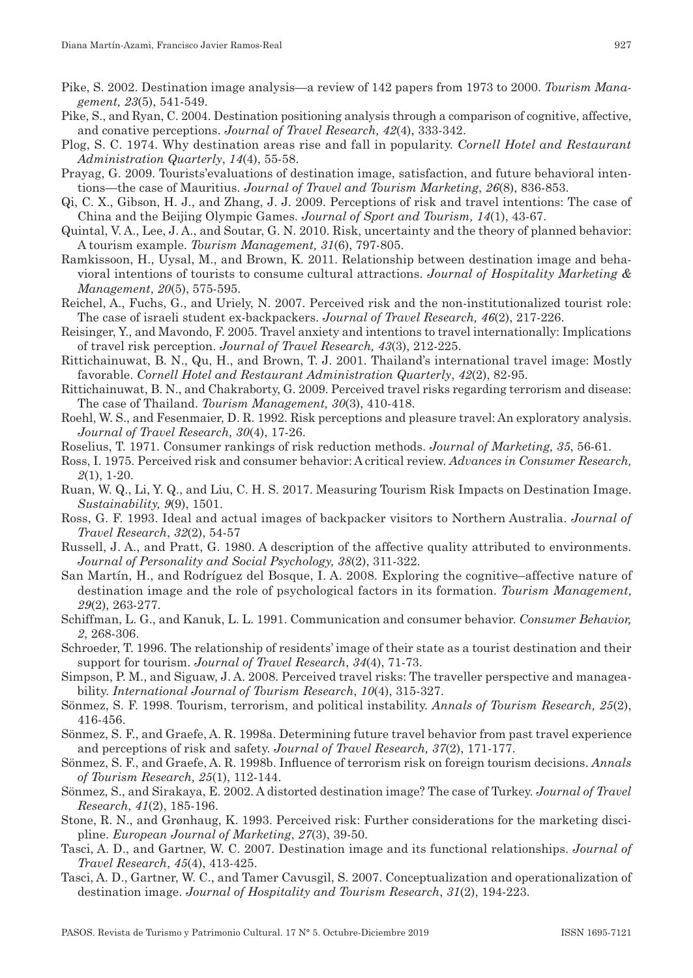- Pike, S. 2002. Destination image analysis—a review of 142 papers from 1973 to 2000. *Tourism Mana‑ gement, 23*(5), 541‑549.
- Pike, S., and Ryan, C. 2004. Destination positioning analysis through a comparison of cognitive, affective, and conative perceptions. *Journal of Travel Research, 42*(4), 333‑342.
- Plog, S. C. 1974. Why destination areas rise and fall in popularity. *Cornell Hotel and Restaurant Administration Quarterly*, *14*(4), 55‑58.
- Prayag, G. 2009. Tourists'evaluations of destination image, satisfaction, and future behavioral inten‑ tions—the case of Mauritius. *Journal of Travel and Tourism Marketing*, *26*(8), 836‑853.
- Qi, C. X., Gibson, H. J., and Zhang, J. J. 2009. Perceptions of risk and travel intentions: The case of China and the Beijing Olympic Games. *Journal of Sport and Tourism, 14*(1), 43‑67.
- Quintal, V. A., Lee, J. A., and Soutar, G. N. 2010. Risk, uncertainty and the theory of planned behavior: A tourism example. *Tourism Management, 31*(6), 797‑805.
- Ramkissoon, H., Uysal, M., and Brown, K. 2011. Relationship between destination image and behavioral intentions of tourists to consume cultural attractions. *Journal of Hospitality Marketing & Management*, *20*(5), 575‑595.
- Reichel, A., Fuchs, G., and Uriely, N. 2007. Perceived risk and the non‑institutionalized tourist role: The case of israeli student ex‑backpackers. *Journal of Travel Research, 46*(2), 217‑226.
- Reisinger, Y., and Mavondo, F. 2005. Travel anxiety and intentions to travel internationally: Implications of travel risk perception. *Journal of Travel Research, 43*(3), 212‑225.
- Rittichainuwat, B. N., Qu, H., and Brown, T. J. 2001. Thailand's international travel image: Mostly favorable. *Cornell Hotel and Restaurant Administration Quarterly*, *42*(2), 82‑95.
- Rittichainuwat, B. N., and Chakraborty, G. 2009. Perceived travel risks regarding terrorism and disease: The case of Thailand. *Tourism Management, 30*(3), 410‑418.
- Roehl, W. S., and Fesenmaier, D. R. 1992. Risk perceptions and pleasure travel: An exploratory analysis. *Journal of Travel Research, 30*(4), 17‑26.
- Roselius, T. 1971. Consumer rankings of risk reduction methods. *Journal of Marketing, 35*, 56‑61.
- Ross, I. 1975. Perceived risk and consumer behavior: A critical review. *Advances in Consumer Research, 2*(1), 1‑20.
- Ruan, W. Q., Li, Y. Q., and Liu, C. H. S. 2017. Measuring Tourism Risk Impacts on Destination Image. *Sustainability, 9*(9), 1501.
- Ross, G. F. 1993. Ideal and actual images of backpacker visitors to Northern Australia. *Journal of Travel Research*, *32*(2), 54‑57
- Russell, J. A., and Pratt, G. 1980. A description of the affective quality attributed to environments. *Journal of Personality and Social Psychology, 38*(2), 311‑322.
- San Martín, H., and Rodríguez del Bosque, I. A. 2008. Exploring the cognitive–affective nature of destination image and the role of psychological factors in its formation. *Tourism Management, 29*(2), 263‑277.
- Schiffman, L. G., and Kanuk, L. L. 1991. Communication and consumer behavior. *Consumer Behavior, 2*, 268‑306.
- Schroeder, T. 1996. The relationship of residents' image of their state as a tourist destination and their support for tourism. *Journal of Travel Research*, *34*(4), 71‑73.
- Simpson, P. M., and Siguaw, J. A. 2008. Perceived travel risks: The traveller perspective and manageability. *International Journal of Tourism Research*, *10*(4), 315‑327.
- Sönmez, S. F. 1998. Tourism, terrorism, and political instability. *Annals of Tourism Research, 25*(2), 416‑456.
- Sönmez, S. F., and Graefe, A. R. 1998a. Determining future travel behavior from past travel experience and perceptions of risk and safety. *Journal of Travel Research, 37*(2), 171‑177.
- Sönmez, S. F., and Graefe, A. R. 1998b. Influence of terrorism risk on foreign tourism decisions. *Annals of Tourism Research, 25*(1), 112‑144.
- Sönmez, S., and Sirakaya, E. 2002. A distorted destination image? The case of Turkey. *Journal of Travel Research*, *41*(2), 185‑196.
- Stone, R. N., and Grønhaug, K. 1993. Perceived risk: Further considerations for the marketing discipline. *European Journal of Marketing*, *27*(3), 39‑50.
- Tasci, A. D., and Gartner, W. C. 2007. Destination image and its functional relationships. *Journal of Travel Research*, *45*(4), 413‑425.
- Tasci, A. D., Gartner, W. C., and Tamer Cavusgil, S. 2007. Conceptualization and operationalization of destination image. *Journal of Hospitality and Tourism Research*, *31*(2), 194‑223.